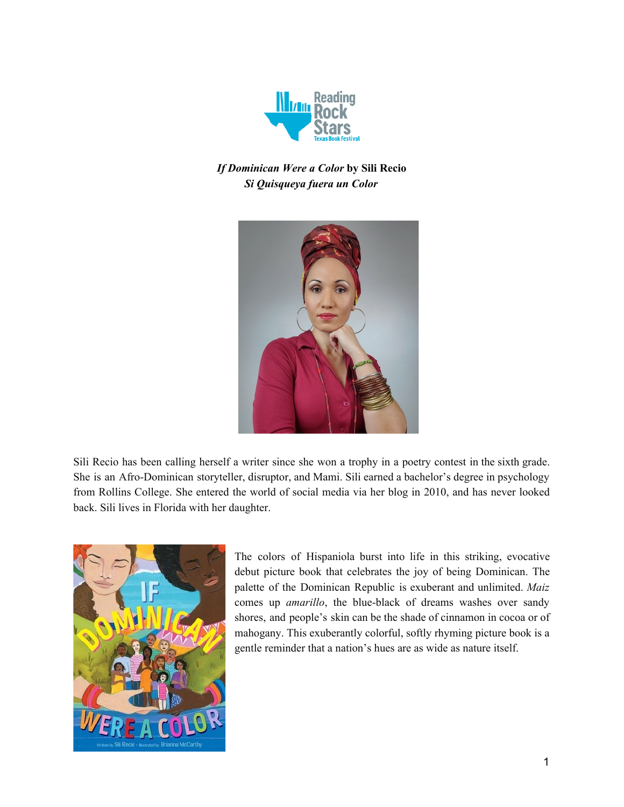

# *If Dominican Were a Color* **by Sili Recio** *Si Quisqueya fuera un Color*



Sili Recio has been calling herself a writer since she won a trophy in a poetry contest in the sixth grade. She is an Afro-Dominican storyteller, disruptor, and Mami. Sili earned a bachelor's degree in psychology from Rollins College. She entered the world of social media via her blog in 2010, and has never looked back. Sili lives in Florida with her daughter.



The colors of Hispaniola burst into life in this striking, evocative debut picture book that celebrates the joy of being Dominican. The palette of the Dominican Republic is exuberant and unlimited. *Maiz* comes up *amarillo*, the blue-black of dreams washes over sandy shores, and people's skin can be the shade of cinnamon in cocoa or of mahogany. This exuberantly colorful, softly rhyming picture book is a gentle reminder that a nation's hues are as wide as nature itself.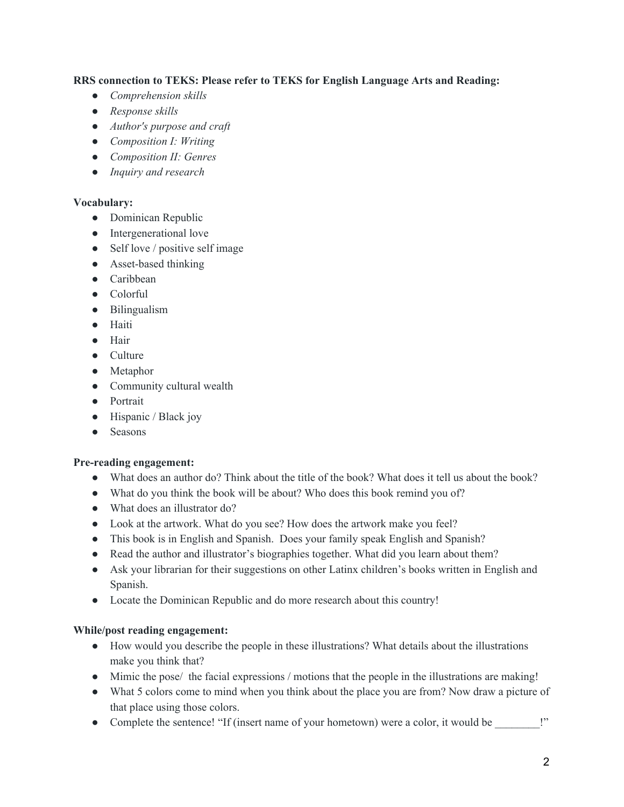**RRS connection to TEKS: Please refer to TEKS for English Language Arts and Reading:**

- *● Comprehension skills*
- *● Response skills*
- *● Author's purpose and craft*
- *● Composition I: Writing*
- *● Composition II: Genres*
- *● Inquiry and research*

#### **Vocabulary:**

- Dominican Republic
- Intergenerational love
- Self love / positive self image
- Asset-based thinking
- Caribbean
- Colorful
- Bilingualism
- Haiti
- Hair
- Culture
- Metaphor
- Community cultural wealth
- Portrait
- Hispanic / Black joy
- Seasons

### **Pre-reading engagement:**

- What does an author do? Think about the title of the book? What does it tell us about the book?
- What do you think the book will be about? Who does this book remind you of?
- What does an illustrator do?
- Look at the artwork. What do you see? How does the artwork make you feel?
- This book is in English and Spanish. Does your family speak English and Spanish?
- Read the author and illustrator's biographies together. What did you learn about them?
- Ask your librarian for their suggestions on other Latinx children's books written in English and Spanish.
- Locate the Dominican Republic and do more research about this country!

### **While/post reading engagement:**

- How would you describe the people in these illustrations? What details about the illustrations make you think that?
- Mimic the pose/ the facial expressions / motions that the people in the illustrations are making!
- What 5 colors come to mind when you think about the place you are from? Now draw a picture of that place using those colors.
- Complete the sentence! "If (insert name of your hometown) were a color, it would be \_\_\_\_\_\_\_!"